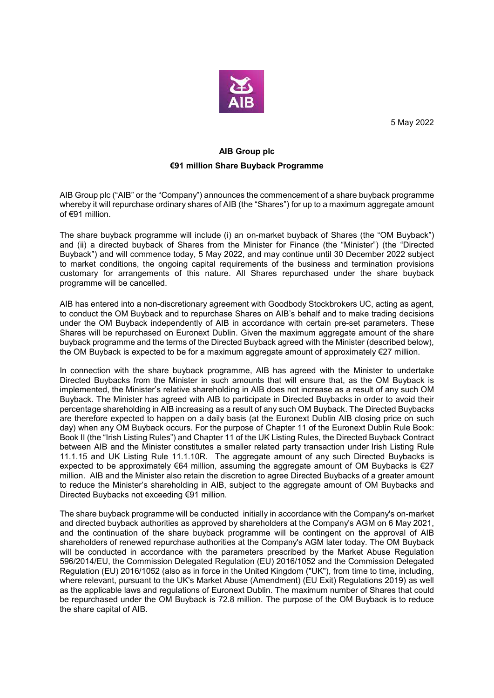

5 May 2022

## **AIB Group plc**

## **€91 million Share Buyback Programme**

AIB Group plc ("AIB" or the "Company") announces the commencement of a share buyback programme whereby it will repurchase ordinary shares of AIB (the "Shares") for up to a maximum aggregate amount of €91 million.

The share buyback programme will include (i) an on-market buyback of Shares (the "OM Buyback") and (ii) a directed buyback of Shares from the Minister for Finance (the "Minister") (the "Directed Buyback") and will commence today, 5 May 2022, and may continue until 30 December 2022 subject to market conditions, the ongoing capital requirements of the business and termination provisions customary for arrangements of this nature. All Shares repurchased under the share buyback programme will be cancelled.

AIB has entered into a non-discretionary agreement with Goodbody Stockbrokers UC, acting as agent, to conduct the OM Buyback and to repurchase Shares on AIB's behalf and to make trading decisions under the OM Buyback independently of AIB in accordance with certain pre-set parameters. These Shares will be repurchased on Euronext Dublin. Given the maximum aggregate amount of the share buyback programme and the terms of the Directed Buyback agreed with the Minister (described below), the OM Buyback is expected to be for a maximum aggregate amount of approximately €27 million.

In connection with the share buyback programme, AIB has agreed with the Minister to undertake Directed Buybacks from the Minister in such amounts that will ensure that, as the OM Buyback is implemented, the Minister's relative shareholding in AIB does not increase as a result of any such OM Buyback. The Minister has agreed with AIB to participate in Directed Buybacks in order to avoid their percentage shareholding in AIB increasing as a result of any such OM Buyback. The Directed Buybacks are therefore expected to happen on a daily basis (at the Euronext Dublin AIB closing price on such day) when any OM Buyback occurs. For the purpose of Chapter 11 of the Euronext Dublin Rule Book: Book II (the "Irish Listing Rules") and Chapter 11 of the UK Listing Rules, the Directed Buyback Contract between AIB and the Minister constitutes a smaller related party transaction under Irish Listing Rule 11.1.15 and UK Listing Rule 11.1.10R. The aggregate amount of any such Directed Buybacks is expected to be approximately €64 million, assuming the aggregate amount of OM Buybacks is €27 million. AIB and the Minister also retain the discretion to agree Directed Buybacks of a greater amount to reduce the Minister's shareholding in AIB, subject to the aggregate amount of OM Buybacks and Directed Buybacks not exceeding €91 million.

The share buyback programme will be conducted initially in accordance with the Company's on-market and directed buyback authorities as approved by shareholders at the Company's AGM on 6 May 2021, and the continuation of the share buyback programme will be contingent on the approval of AIB shareholders of renewed repurchase authorities at the Company's AGM later today. The OM Buyback will be conducted in accordance with the parameters prescribed by the Market Abuse Regulation 596/2014/EU, the Commission Delegated Regulation (EU) 2016/1052 and the Commission Delegated Regulation (EU) 2016/1052 (also as in force in the United Kingdom ("UK"), from time to time, including, where relevant, pursuant to the UK's Market Abuse (Amendment) (EU Exit) Regulations 2019) as well as the applicable laws and regulations of Euronext Dublin. The maximum number of Shares that could be repurchased under the OM Buyback is 72.8 million. The purpose of the OM Buyback is to reduce the share capital of AIB.